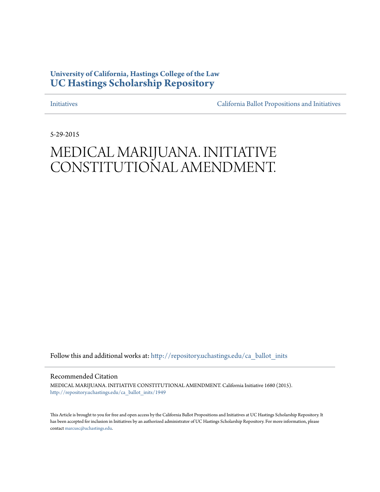## **University of California, Hastings College of the Law [UC Hastings Scholarship Repository](http://repository.uchastings.edu?utm_source=repository.uchastings.edu%2Fca_ballot_inits%2F1949&utm_medium=PDF&utm_campaign=PDFCoverPages)**

[Initiatives](http://repository.uchastings.edu/ca_ballot_inits?utm_source=repository.uchastings.edu%2Fca_ballot_inits%2F1949&utm_medium=PDF&utm_campaign=PDFCoverPages) [California Ballot Propositions and Initiatives](http://repository.uchastings.edu/ca_ballots?utm_source=repository.uchastings.edu%2Fca_ballot_inits%2F1949&utm_medium=PDF&utm_campaign=PDFCoverPages)

5-29-2015

# MEDICAL MARIJUANA. INITIATIVE CONSTITUTIONAL AMENDMENT.

Follow this and additional works at: [http://repository.uchastings.edu/ca\\_ballot\\_inits](http://repository.uchastings.edu/ca_ballot_inits?utm_source=repository.uchastings.edu%2Fca_ballot_inits%2F1949&utm_medium=PDF&utm_campaign=PDFCoverPages)

Recommended Citation

MEDICAL MARIJUANA. INITIATIVE CONSTITUTIONAL AMENDMENT. California Initiative 1680 (2015). [http://repository.uchastings.edu/ca\\_ballot\\_inits/1949](http://repository.uchastings.edu/ca_ballot_inits/1949?utm_source=repository.uchastings.edu%2Fca_ballot_inits%2F1949&utm_medium=PDF&utm_campaign=PDFCoverPages)

This Article is brought to you for free and open access by the California Ballot Propositions and Initiatives at UC Hastings Scholarship Repository. It has been accepted for inclusion in Initiatives by an authorized administrator of UC Hastings Scholarship Repository. For more information, please contact [marcusc@uchastings.edu](mailto:marcusc@uchastings.edu).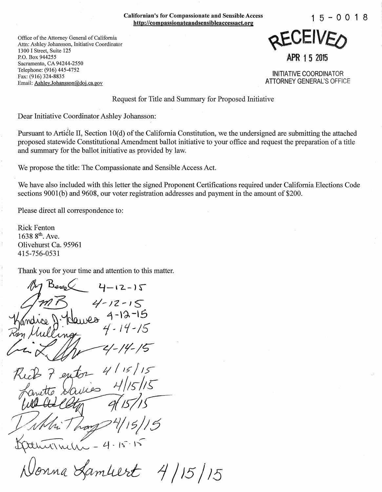Californian's for Compassionate and Sensible Access http://compassionateandsensibleaccessact.org 1 5 - 0 0 **1** <sup>8</sup>

Office of the Attorney General of California Attn: Ashley Johansson, Initiative Coordinator 1300 I Street, Suite 125 P.O. Box 944255 Sacramento, CA 94244-2550 Telephone: (916) 445-4752 Fax: (916) 324-8835 Email: Ashley.Johansson@doj.ca.gov

KEAFIAEO APR 1 5 2015

INITIATIVE COORDINATOR ATTORNEY GENERAL'S OFFICE

Request for Title and Summary for Proposed Initiative

Dear Initiative Coordinator Ashley Johansson:

Pursuant to Article II, Section 10(d) of the California Constitution, we the undersigned are submitting the attached proposed statewide Constitutional Amendment ballot initiative to your office and request the preparation of a title and summary for the ballot initiative as provided by law.

We propose the title: The Compassionate and Sensible Access Act.

We have also included with this letter the signed Proponent Certifications required under California Elections Code sections 9001(b) and 9608, our voter registration addresses and payment in the amount of \$200.

Please direct all correspondence to:

Rick Fenton 1638 8<sup>th</sup>. Ave. Olivehurst Ca. 95961 415-756-0531

Thank you for your time and attention to this matter.

 $4 - 12 - 15$  $1 - 12 - 15$  $4 - 12 - 15$  $14 - 15$  $-4.15.15$ fambert 4/15/15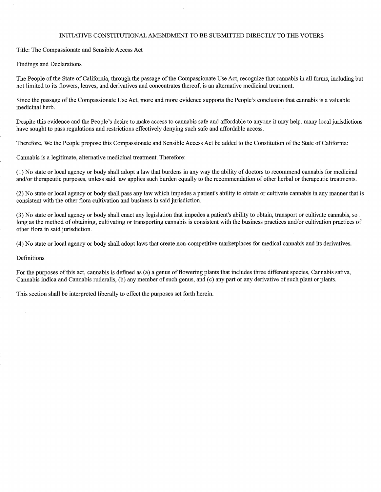#### INITIATIVE CONSTITUTIONAL AMENDMENT TO BE SUBMITTED DIRECTLY TO THE VOTERS

Title: The Compassionate and Sensible Access Act

Findings and Declarations

The People of the State of California, through the passage of the Compassionate Use Act, recognize that cannabis in all forms, including but not limited to its flowers, leaves, and derivatives and concentrates thereof, is an alternative medicinal treatment.

Since the passage of the Compassionate Use Act, more and more evidence supports the People's conclusion that cannabis is a valuable medicinal herb.

Despite this evidence and the People's desire to make access to cannabis safe and affordable to anyone it may help, many local jurisdictions have sought to pass regulations and restrictions effectively denying such safe and affordable access.

Therefore, We the People propose this Compassionate and Sensible Access Act be added to the Constitution of the State of California:

Cannabis is a legitimate, alternative medicinal treatment. Therefore:

(1) No state or local agency or body shall adopt a law that burdens in any way the ability of doctors to recommend cannabis for medicinal and/or therapeutic purposes, unless said law applies such burden equally to the recommendation of other herbal or therapeutic treatments.

(2) No state or local agency or body shall pass any law which impedes a patient's ability to obtain or cultivate cannabis in any manner that is consistent with the other flora cultivation and business in said jurisdiction.

(3) No state or local agency or body shall enact any legislation that impedes a patient's ability to obtain, transport or cultivate cannabis, so long as the method of obtaining, cultivating or transporting cannabis is consistent with the business practices and/or cultivation practices of other flora in said jurisdiction.

(4) No state or local agency or body shall adopt laws that create non-competitive marketplaces for medical cannabis and its derivatives.

#### Definitions

For the purposes of this act, cannabis is defined as (a) a genus of flowering plants that includes three different species, Cannabis sativa, Cannabis indica and Cannabis ruderalis, (b) any member of such genus, and (c) any part or any derivative of such plant or plants.

This section shall be interpreted liberally to effect the purposes set forth herein.